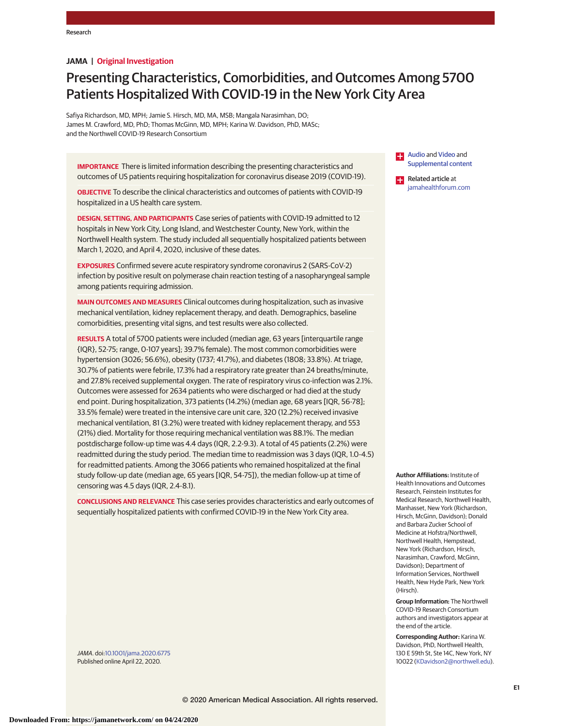# **JAMA | Original Investigation**

# Presenting Characteristics, Comorbidities, and Outcomes Among 5700 Patients Hospitalized With COVID-19 in the New York City Area

Safiya Richardson, MD, MPH; Jamie S. Hirsch, MD, MA, MSB; Mangala Narasimhan, DO; James M. Crawford, MD, PhD; Thomas McGinn, MD, MPH; Karina W. Davidson, PhD, MASc; and the Northwell COVID-19 Research Consortium

**IMPORTANCE** There is limited information describing the presenting characteristics and outcomes of US patients requiring hospitalization for coronavirus disease 2019 (COVID-19).

**OBJECTIVE** To describe the clinical characteristics and outcomes of patients with COVID-19 hospitalized in a US health care system.

**DESIGN, SETTING, AND PARTICIPANTS** Case series of patients with COVID-19 admitted to 12 hospitals in New York City, Long Island, and Westchester County, New York, within the Northwell Health system. The study included all sequentially hospitalized patients between March 1, 2020, and April 4, 2020, inclusive of these dates.

**EXPOSURES** Confirmed severe acute respiratory syndrome coronavirus 2 (SARS-CoV-2) infection by positive result on polymerase chain reaction testing of a nasopharyngeal sample among patients requiring admission.

**MAIN OUTCOMES AND MEASURES** Clinical outcomes during hospitalization, such as invasive mechanical ventilation, kidney replacement therapy, and death. Demographics, baseline comorbidities, presenting vital signs, and test results were also collected.

**RESULTS** A total of 5700 patients were included (median age, 63 years [interquartile range {IQR}, 52-75; range, 0-107 years]; 39.7% female). The most common comorbidities were hypertension (3026; 56.6%), obesity (1737; 41.7%), and diabetes (1808; 33.8%). At triage, 30.7% of patients were febrile, 17.3% had a respiratory rate greater than 24 breaths/minute, and 27.8% received supplemental oxygen. The rate of respiratory virus co-infection was 2.1%. Outcomes were assessed for 2634 patients who were discharged or had died at the study end point. During hospitalization, 373 patients (14.2%) (median age, 68 years [IQR, 56-78]; 33.5% female) were treated in the intensive care unit care, 320 (12.2%) received invasive mechanical ventilation, 81 (3.2%) were treated with kidney replacement therapy, and 553 (21%) died. Mortality for those requiring mechanical ventilation was 88.1%. The median postdischarge follow-up time was 4.4 days (IQR, 2.2-9.3). A total of 45 patients (2.2%) were readmitted during the study period. The median time to readmission was 3 days (IQR, 1.0-4.5) for readmitted patients. Among the 3066 patients who remained hospitalized at the final study follow-up date (median age, 65 years [IQR, 54-75]), the median follow-up at time of censoring was 4.5 days (IQR, 2.4-8.1).

**CONCLUSIONS AND RELEVANCE** This case series provides characteristics and early outcomes of sequentially hospitalized patients with confirmed COVID-19 in the New York City area.

JAMA. doi[:10.1001/jama.2020.6775](https://jamanetwork.com/journals/jama/fullarticle/10.1001/jama.2020.6775?utm_campaign=articlePDF%26utm_medium=articlePDFlink%26utm_source=articlePDF%26utm_content=jama.2020.6775) Published online April 22, 2020.

[Audio](https://jamanetwork.com/learning/audio-player/10.1001/jama.2020.6453/?utm_campaign=articlePDF%26utm_medium=articlePDFlink%26utm_source=articlePDF%26utm_content=jama.2020.6775) and [Video](https://jamanetwork.com/journals/jama/fullarticle/10.1001/jama.2020.6775?utm_campaign=articlePDF%26utm_medium=articlePDFlink%26utm_source=articlePDF%26utm_content=jama.2020.6775) and  $\overline{a}$ [Supplemental content](https://jamanetwork.com/journals/jama/fullarticle/10.1001/jama.2020.6775/?utm_campaign=articlePDF%26utm_medium=articlePDFlink%26utm_source=articlePDF%26utm_content=jama.2020.6775) Related article at

[jamahealthforum.com](http://jama.jamanetwork.com/article.aspx?doi=10.1001/jamahealthforum.2020.0526&utm_campaign=articlePDF%26utm_medium=articlePDFlink%26utm_source=articlePDF%26utm_content=jama.2020.6775)

**Author Affiliations:** Institute of Health Innovations and Outcomes Research, Feinstein Institutes for Medical Research, Northwell Health, Manhasset, New York (Richardson, Hirsch, McGinn, Davidson); Donald and Barbara Zucker School of Medicine at Hofstra/Northwell, Northwell Health, Hempstead, New York (Richardson, Hirsch, Narasimhan, Crawford, McGinn, Davidson); Department of Information Services, Northwell Health, New Hyde Park, New York (Hirsch).

**Group Information:** The Northwell COVID-19 Research Consortium authors and investigators appear at the end of the article.

**Corresponding Author:** Karina W. Davidson, PhD, Northwell Health, 130 E 59th St, Ste 14C, New York, NY 10022 [\(KDavidson2@northwell.edu\)](mailto:KDavidson2@northwell.edu).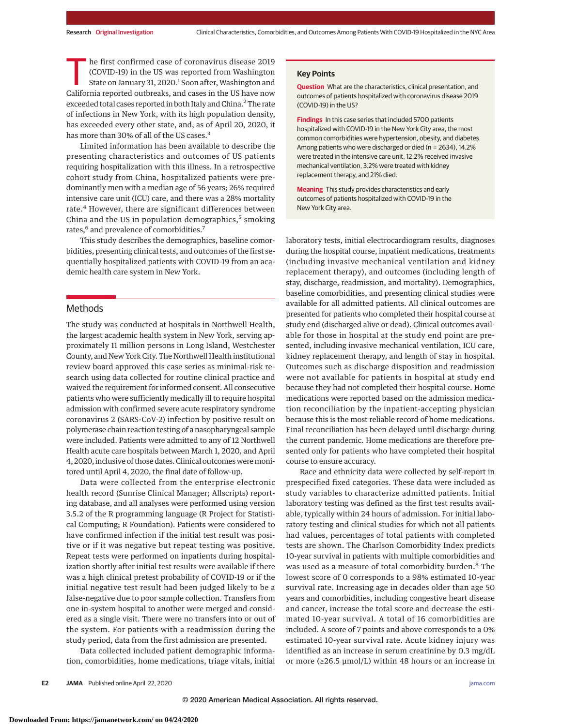The first confirmed case of coronavirus disease 2019<br>
(COVID-19) in the US was reported from Washington<br>
State on January 31, 2020.<sup>1</sup> Soon after, Washington and<br>
California reported outbroaks and cases in the US baye now (COVID-19) in the US was reported from Washington California reported outbreaks, and cases in the US have now exceeded total cases reported in both Italy and China.<sup>2</sup> The rate of infections in New York, with its high population density, has exceeded every other state, and, as of April 20, 2020, it has more than 30% of all of the US cases.<sup>3</sup>

Limited information has been available to describe the presenting characteristics and outcomes of US patients requiring hospitalization with this illness. In a retrospective cohort study from China, hospitalized patients were predominantly men with a median age of 56 years; 26% required intensive care unit (ICU) care, and there was a 28% mortality rate.<sup>4</sup> However, there are significant differences between China and the US in population demographics, $5$  smoking rates,<sup>6</sup> and prevalence of comorbidities.<sup>7</sup>

This study describes the demographics, baseline comorbidities, presenting clinical tests, and outcomes of the first sequentially hospitalized patients with COVID-19 from an academic health care system in New York.

# Methods

The study was conducted at hospitals in Northwell Health, the largest academic health system in New York, serving approximately 11 million persons in Long Island, Westchester County, and New York City. The Northwell Health institutional review board approved this case series as minimal-risk research using data collected for routine clinical practice and waived the requirement for informed consent. All consecutive patients who were sufficiently medically ill to require hospital admission with confirmed severe acute respiratory syndrome coronavirus 2 (SARS-CoV-2) infection by positive result on polymerase chain reaction testing of a nasopharyngeal sample were included. Patients were admitted to any of 12 Northwell Health acute care hospitals between March 1, 2020, and April 4, 2020, inclusive of those dates. Clinical outcomes weremonitored until April 4, 2020, the final date of follow-up.

Data were collected from the enterprise electronic health record (Sunrise Clinical Manager; Allscripts) reporting database, and all analyses were performed using version 3.5.2 of the R programming language (R Project for Statistical Computing; R Foundation). Patients were considered to have confirmed infection if the initial test result was positive or if it was negative but repeat testing was positive. Repeat tests were performed on inpatients during hospitalization shortly after initial test results were available if there was a high clinical pretest probability of COVID-19 or if the initial negative test result had been judged likely to be a false-negative due to poor sample collection. Transfers from one in-system hospital to another were merged and considered as a single visit. There were no transfers into or out of the system. For patients with a readmission during the study period, data from the first admission are presented.

Data collected included patient demographic information, comorbidities, home medications, triage vitals, initial

#### **Key Points**

**Question** What are the characteristics, clinical presentation, and outcomes of patients hospitalized with coronavirus disease 2019 (COVID-19) in the US?

**Findings** In this case series that included 5700 patients hospitalized with COVID-19 in the New York City area, the most common comorbidities were hypertension, obesity, and diabetes. Among patients who were discharged or died (n = 2634), 14.2% were treated in the intensive care unit, 12.2% received invasive mechanical ventilation, 3.2% were treated with kidney replacement therapy, and 21% died.

**Meaning** This study provides characteristics and early outcomes of patients hospitalized with COVID-19 in the New York City area.

laboratory tests, initial electrocardiogram results, diagnoses during the hospital course, inpatient medications, treatments (including invasive mechanical ventilation and kidney replacement therapy), and outcomes (including length of stay, discharge, readmission, and mortality). Demographics, baseline comorbidities, and presenting clinical studies were available for all admitted patients. All clinical outcomes are presented for patients who completed their hospital course at study end (discharged alive or dead). Clinical outcomes available for those in hospital at the study end point are presented, including invasive mechanical ventilation, ICU care, kidney replacement therapy, and length of stay in hospital. Outcomes such as discharge disposition and readmission were not available for patients in hospital at study end because they had not completed their hospital course. Home medications were reported based on the admission medication reconciliation by the inpatient-accepting physician because this is the most reliable record of home medications. Final reconciliation has been delayed until discharge during the current pandemic. Home medications are therefore presented only for patients who have completed their hospital course to ensure accuracy.

Race and ethnicity data were collected by self-report in prespecified fixed categories. These data were included as study variables to characterize admitted patients. Initial laboratory testing was defined as the first test results available, typically within 24 hours of admission. For initial laboratory testing and clinical studies for which not all patients had values, percentages of total patients with completed tests are shown. The Charlson Comorbidity Index predicts 10-year survival in patients with multiple comorbidities and was used as a measure of total comorbidity burden.<sup>8</sup> The lowest score of 0 corresponds to a 98% estimated 10-year survival rate. Increasing age in decades older than age 50 years and comorbidities, including congestive heart disease and cancer, increase the total score and decrease the estimated 10-year survival. A total of 16 comorbidities are included. A score of 7 points and above corresponds to a 0% estimated 10-year survival rate. Acute kidney injury was identified as an increase in serum creatinine by 0.3 mg/dL or more ( $\geq$ 26.5 µmol/L) within 48 hours or an increase in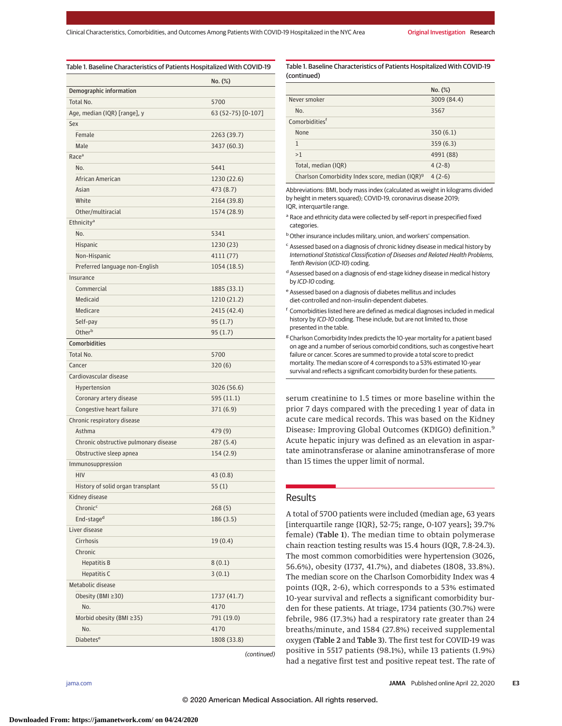| Table 1. Baseline Characteristics of Patients Hospitalized With COVID-19 |                    |
|--------------------------------------------------------------------------|--------------------|
|                                                                          | No. (%)            |
| Demographic information                                                  |                    |
| Total No.                                                                | 5700               |
| Age, median (IQR) [range], y                                             | 63 (52-75) [0-107] |
| Sex                                                                      |                    |
| Female                                                                   | 2263 (39.7)        |
| Male                                                                     | 3437 (60.3)        |
| Race <sup>a</sup>                                                        |                    |
| No.                                                                      | 5441               |
| African American                                                         | 1230 (22.6)        |
| Asian                                                                    | 473 (8.7)          |
| White                                                                    | 2164 (39.8)        |
| Other/multiracial                                                        | 1574 (28.9)        |
| Ethnicity <sup>a</sup>                                                   |                    |
| No.                                                                      | 5341               |
| Hispanic                                                                 | 1230(23)           |
| Non-Hispanic                                                             | 4111(77)           |
| Preferred language non-English                                           | 1054 (18.5)        |
| Insurance                                                                |                    |
| Commercial                                                               | 1885 (33.1)        |
| Medicaid                                                                 | 1210 (21.2)        |
| Medicare                                                                 | 2415 (42.4)        |
| Self-pay                                                                 | 95(1.7)            |
| Otherb                                                                   | 95(1.7)            |
| <b>Comorbidities</b>                                                     |                    |
| Total No.                                                                | 5700               |
| Cancer                                                                   | 320(6)             |
| Cardiovascular disease                                                   |                    |
| Hypertension                                                             | 3026 (56.6)        |
| Coronary artery disease                                                  | 595 (11.1)         |
| Congestive heart failure                                                 | 371 (6.9)          |
| Chronic respiratory disease                                              |                    |
| Asthma                                                                   | 479 (9)            |
| Chronic obstructive pulmonary disease                                    | 287(5.4)           |
| Obstructive sleep apnea                                                  | 154 (2.9)          |
| Immunosuppression                                                        |                    |
| HIV                                                                      | 43 (0.8)           |
| History of solid organ transplant                                        | 55(1)              |
| Kidney disease                                                           |                    |
| Chronic <sup>c</sup>                                                     | 268(5)             |
| End-stage <sup>d</sup>                                                   | 186 (3.5)          |
| Liver disease                                                            |                    |
| Cirrhosis                                                                | 19(0.4)            |
| Chronic                                                                  |                    |
| <b>Hepatitis B</b>                                                       | 8(0.1)             |
| <b>Hepatitis C</b>                                                       |                    |
|                                                                          | 3(0.1)             |
| Metabolic disease                                                        |                    |
| Obesity (BMI ≥30)                                                        | 1737 (41.7)        |
| No.                                                                      | 4170               |
| Morbid obesity (BMI ≥35)                                                 | 791 (19.0)         |
| No.                                                                      | 4170               |
| <b>Diabetes<sup>e</sup></b>                                              | 1808 (33.8)        |

(continued)

Table 1. Baseline Characteristics of Patients Hospitalized With COVID-19 (continued)

|                                                             | No. (%)     |
|-------------------------------------------------------------|-------------|
| Never smoker                                                | 3009 (84.4) |
| No.                                                         | 3567        |
| Comorbidities <sup>f</sup>                                  |             |
| None                                                        | 350(6.1)    |
| 1                                                           | 359(6.3)    |
| >1                                                          | 4991 (88)   |
| Total, median (IQR)                                         | $4(2-8)$    |
| Charlson Comorbidity Index score, median (IQR) <sup>9</sup> | $4(2-6)$    |

Abbreviations: BMI, body mass index (calculated as weight in kilograms divided by height in meters squared); COVID-19, coronavirus disease 2019; IQR, interquartile range.

- <sup>a</sup> Race and ethnicity data were collected by self-report in prespecified fixed categories.
- **b** Other insurance includes military, union, and workers' compensation.
- <sup>c</sup> Assessed based on a diagnosis of chronic kidney disease in medical history by International Statistical Classification of Diseases and Related Health Problems, Tenth Revision (ICD-10) coding.
- <sup>d</sup> Assessed based on a diagnosis of end-stage kidney disease in medical history by ICD-10 coding.
- <sup>e</sup> Assessed based on a diagnosis of diabetes mellitus and includes diet-controlled and non–insulin-dependent diabetes.
- <sup>f</sup> Comorbidities listed here are defined as medical diagnoses included in medical history by ICD-10 coding. These include, but are not limited to, those presented in the table.
- <sup>g</sup> Charlson Comorbidity Index predicts the 10-year mortality for a patient based on age and a number of serious comorbid conditions, such as congestive heart failure or cancer. Scores are summed to provide a total score to predict mortality. The median score of 4 corresponds to a 53% estimated 10-year survival and reflects a significant comorbidity burden for these patients.

serum creatinine to 1.5 times or more baseline within the prior 7 days compared with the preceding 1 year of data in acute care medical records. This was based on the Kidney Disease: Improving Global Outcomes (KDIGO) definition.<sup>9</sup> Acute hepatic injury was defined as an elevation in aspartate aminotransferase or alanine aminotransferase of more than 15 times the upper limit of normal.

# **Results**

A total of 5700 patients were included (median age, 63 years [interquartile range {IQR}, 52-75; range, 0-107 years]; 39.7% female) (Table 1). The median time to obtain polymerase chain reaction testing results was 15.4 hours (IQR, 7.8-24.3). The most common comorbidities were hypertension (3026, 56.6%), obesity (1737, 41.7%), and diabetes (1808, 33.8%). The median score on the Charlson Comorbidity Index was 4 points (IQR, 2-6), which corresponds to a 53% estimated 10-year survival and reflects a significant comorbidity burden for these patients. At triage, 1734 patients (30.7%) were febrile, 986 (17.3%) had a respiratory rate greater than 24 breaths/minute, and 1584 (27.8%) received supplemental oxygen (Table 2 and Table 3). The first test for COVID-19 was positive in 5517 patients (98.1%), while 13 patients (1.9%) had a negative first test and positive repeat test. The rate of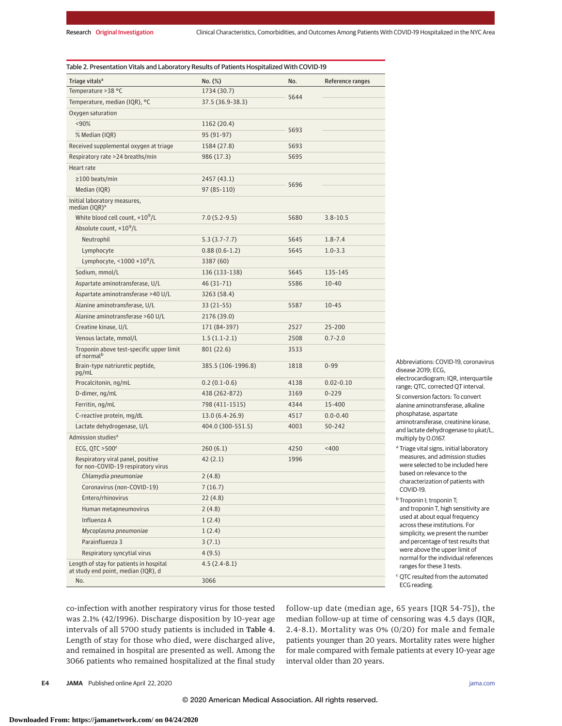| Triage vitals <sup>a</sup>                                                     | No. (%)            | No.  | Reference ranges |
|--------------------------------------------------------------------------------|--------------------|------|------------------|
| Temperature > 38 °C                                                            | 1734 (30.7)        | 5644 |                  |
| Temperature, median (IQR), °C                                                  | 37.5 (36.9-38.3)   |      |                  |
| Oxygen saturation                                                              |                    |      |                  |
| < 90%                                                                          | 1162 (20.4)        |      |                  |
| % Median (IQR)                                                                 | 95 (91-97)         | 5693 |                  |
| Received supplemental oxygen at triage                                         | 1584 (27.8)        | 5693 |                  |
| Respiratory rate >24 breaths/min                                               | 986 (17.3)         | 5695 |                  |
| Heart rate                                                                     |                    |      |                  |
| ≥100 beats/min                                                                 | 2457 (43.1)        |      |                  |
| Median (IQR)                                                                   | 97 (85-110)        | 5696 |                  |
| Initial laboratory measures,<br>median $(IQR)^a$                               |                    |      |                  |
| White blood cell count, $\times 10^9$ /L                                       | $7.0(5.2-9.5)$     | 5680 | $3.8 - 10.5$     |
| Absolute count, ×10 <sup>9</sup> /L                                            |                    |      |                  |
| Neutrophil                                                                     | $5.3(3.7 - 7.7)$   | 5645 | $1.8 - 7.4$      |
| Lymphocyte                                                                     | $0.88(0.6-1.2)$    | 5645 | $1.0 - 3.3$      |
| Lymphocyte, <1000 ×10 <sup>9</sup> /L                                          | 3387 (60)          |      |                  |
| Sodium, mmol/L                                                                 | 136 (133-138)      | 5645 | 135-145          |
| Aspartate aminotransferase, U/L                                                | 46 (31-71)         | 5586 | $10 - 40$        |
| Aspartate aminotransferase >40 U/L                                             | 3263 (58.4)        |      |                  |
| Alanine aminotransferase, U/L                                                  | $33(21-55)$        | 5587 | 10-45            |
| Alanine aminotransferase >60 U/L                                               | 2176 (39.0)        |      |                  |
| Creatine kinase, U/L                                                           | 171 (84-397)       | 2527 | 25-200           |
| Venous lactate, mmol/L                                                         | $1.5(1.1-2.1)$     | 2508 | $0.7 - 2.0$      |
| Troponin above test-specific upper limit<br>of normal <sup>b</sup>             | 801 (22.6)         | 3533 |                  |
| Brain-type natriuretic peptide,<br>pg/mL                                       | 385.5 (106-1996.8) | 1818 | $0 - 99$         |
| Procalcitonin, ng/mL                                                           | $0.2(0.1-0.6)$     | 4138 | $0.02 - 0.10$    |
| D-dimer, ng/mL                                                                 | 438 (262-872)      | 3169 | $0 - 229$        |
| Ferritin, ng/mL                                                                | 798 (411-1515)     | 4344 | 15-400           |
| C-reactive protein, mg/dL                                                      | $13.0(6.4-26.9)$   | 4517 | $0.0 - 0.40$     |
| Lactate dehydrogenase, U/L                                                     | 404.0 (300-551.5)  | 4003 | $50 - 242$       |
| Admission studies <sup>a</sup>                                                 |                    |      |                  |
| ECG, QTC $>500^{\circ}$                                                        | 260(6.1)           | 4250 | < 400            |
| Respiratory viral panel, positive<br>for non-COVID-19 respiratory virus        | 42(2.1)            | 1996 |                  |
| Chlamydia pneumoniae                                                           | 2(4.8)             |      |                  |
| Coronavirus (non-COVID-19)                                                     | 7(16.7)            |      |                  |
| Entero/rhinovirus                                                              | 22(4.8)            |      |                  |
| Human metapneumovirus                                                          | 2(4.8)             |      |                  |
| Influenza A                                                                    | 1(2.4)             |      |                  |
| Mycoplasma pneumoniae                                                          | 1(2.4)             |      |                  |
| Parainfluenza 3                                                                | 3(7.1)             |      |                  |
| Respiratory syncytial virus                                                    | 4(9.5)             |      |                  |
| Length of stay for patients in hospital<br>at study end point, median (IQR), d | $4.5(2.4-8.1)$     |      |                  |
| No.                                                                            | 3066               |      |                  |

Abbreviations: COVID-19, coronavirus disease 2019; ECG,

electrocardiogram; IQR, interquartile range; QTC, corrected QT interval.

SI conversion factors: To convert alanine aminotransferase, alkaline phosphatase, aspartate aminotransferase, creatinine kinase, and lactate dehydrogenase to μkat/L, multiply by 0.0167.

<sup>a</sup> Triage vital signs, initial laboratory measures, and admission studies were selected to be included here based on relevance to the characterization of patients with COVID-19.

<sup>b</sup> Troponin I; troponin T; and troponin T, high sensitivity are used at about equal frequency across these institutions. For simplicity, we present the number and percentage of test results that were above the upper limit of normal for the individual references ranges for these 3 tests.

<sup>c</sup> QTC resulted from the automated ECG reading.

co-infection with another respiratory virus for those tested was 2.1% (42/1996). Discharge disposition by 10-year age intervals of all 5700 study patients is included in Table 4. Length of stay for those who died, were discharged alive, and remained in hospital are presented as well. Among the 3066 patients who remained hospitalized at the final study follow-up date (median age, 65 years [IQR 54-75]), the median follow-up at time of censoring was 4.5 days (IQR, 2.4-8.1). Mortality was 0% (0/20) for male and female patients younger than 20 years. Mortality rates were higher for male compared with female patients at every 10-year age interval older than 20 years.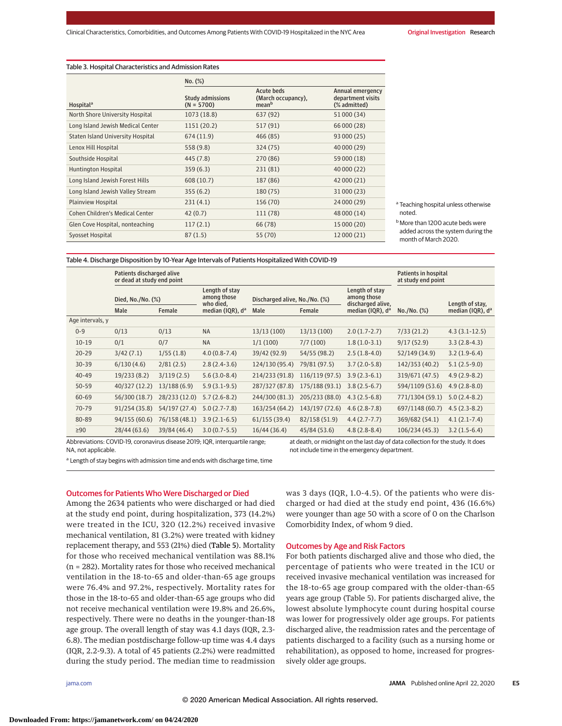## Table 3. Hospital Characteristics and Admission Rates

|                                   | No. (%)                          |                                                       |                                                       |  |  |  |
|-----------------------------------|----------------------------------|-------------------------------------------------------|-------------------------------------------------------|--|--|--|
| Hospital <sup>a</sup>             | Study admissions<br>$(N = 5700)$ | Acute beds<br>(March occupancy),<br>mean <sup>b</sup> | Annual emergency<br>department visits<br>(% admitted) |  |  |  |
| North Shore University Hospital   | 1073 (18.8)                      | 637 (92)                                              | 51 000 (34)                                           |  |  |  |
| Long Island Jewish Medical Center | 1151 (20.2)                      | 517 (91)                                              | 66 000 (28)                                           |  |  |  |
| Staten Island University Hospital | 674 (11.9)                       | 466 (85)                                              | 93 000 (25)                                           |  |  |  |
| Lenox Hill Hospital               | 558 (9.8)                        | 324 (75)                                              | 40 000 (29)                                           |  |  |  |
| Southside Hospital                | 445 (7.8)                        | 270 (86)                                              | 59 000 (18)                                           |  |  |  |
| Huntington Hospital               | 359(6.3)                         | 231 (81)                                              | 40 000 (22)                                           |  |  |  |
| Long Island Jewish Forest Hills   | 608 (10.7)                       | 187 (86)                                              | 42 000 (21)                                           |  |  |  |
| Long Island Jewish Valley Stream  | 355(6.2)                         | 180 (75)                                              | 31 000 (23)                                           |  |  |  |
| <b>Plainview Hospital</b>         | 231(4.1)                         | 156 (70)                                              | 24 000 (29)                                           |  |  |  |
| Cohen Children's Medical Center   | 42(0.7)                          | 111 (78)                                              | 48 000 (14)                                           |  |  |  |
| Glen Cove Hospital, nonteaching   | 117(2.1)                         | 66 (78)                                               | 15 000 (20)                                           |  |  |  |
| Syosset Hospital                  | 87(1.5)                          | 55 (70)                                               | 12 000 (21)                                           |  |  |  |

<sup>a</sup> Teaching hospital unless otherwise noted.

Table 4. Discharge Disposition by 10-Year Age Intervals of Patients Hospitalized With COVID-19

|                  | Patients discharged alive<br>or dead at study end point |               |                                            |                               |                |                                                    | Patients in hospital<br>at study end point |                              |
|------------------|---------------------------------------------------------|---------------|--------------------------------------------|-------------------------------|----------------|----------------------------------------------------|--------------------------------------------|------------------------------|
|                  | Died, No./No. (%)                                       |               | Length of stay<br>among those<br>who died, | Discharged alive, No./No. (%) |                | Length of stay<br>among those<br>discharged alive, |                                            | Length of stay,              |
|                  | Male                                                    | Female        | median (IQR), d <sup>a</sup>               | Male<br>Female                |                | median (IQR), d <sup>a</sup>                       | No. / No. (%)                              | median (IQR), d <sup>a</sup> |
| Age intervals, y |                                                         |               |                                            |                               |                |                                                    |                                            |                              |
| $0 - 9$          | 0/13                                                    | 0/13          | <b>NA</b>                                  | 13/13(100)                    | 13/13(100)     | $2.0(1.7-2.7)$                                     | 7/33(21.2)                                 | $4.3(3.1-12.5)$              |
| $10 - 19$        | 0/1                                                     | 0/7           | <b>NA</b>                                  | 1/1(100)                      | 7/7(100)       | $1.8(1.0-3.1)$                                     | 9/17(52.9)                                 | $3.3(2.8-4.3)$               |
| $20 - 29$        | 3/42(7.1)                                               | 1/55(1.8)     | $4.0(0.8-7.4)$                             | 39/42 (92.9)                  | 54/55 (98.2)   | $2.5(1.8-4.0)$                                     | 52/149 (34.9)                              | $3.2(1.9-6.4)$               |
| $30 - 39$        | 6/130(4.6)                                              | 2/81(2.5)     | $2.8(2.4-3.6)$                             | 124/130 (95.4)                | 79/81 (97.5)   | $3.7(2.0-5.8)$                                     | 142/353 (40.2)                             | $5.1(2.5-9.0)$               |
| $40 - 49$        | 19/233 (8.2)                                            | 3/119(2.5)    | $5.6(3.0-8.4)$                             | 214/233 (91.8)                | 116/119 (97.5) | $3.9(2.3-6.1)$                                     | 319/671 (47.5)                             | $4.9(2.9-8.2)$               |
| $50 - 59$        | 40/327 (12.2)                                           | 13/188(6.9)   | $5.9(3.1-9.5)$                             | 287/327 (87.8)                | 175/188 (93.1) | $3.8(2.5-6.7)$                                     | 594/1109 (53.6)                            | $4.9(2.8-8.0)$               |
| $60 - 69$        | 56/300 (18.7)                                           | 28/233 (12.0) | $5.7(2.6-8.2)$                             | 244/300 (81.3)                | 205/233 (88.0) | $4.3(2.5-6.8)$                                     | 771/1304 (59.1)                            | $5.0(2.4-8.2)$               |
| $70 - 79$        | 91/254 (35.8)                                           | 54/197 (27.4) | $5.0(2.7-7.8)$                             | 163/254 (64.2)                | 143/197 (72.6) | $4.6(2.8-7.8)$                                     | 697/1148 (60.7)                            | $4.5(2.3-8.2)$               |
| 80-89            | 94/155 (60.6)                                           | 76/158 (48.1) | $3.9(2.1-6.5)$                             | 61/155(39.4)                  | 82/158 (51.9)  | $4.4(2.7 - 7.7)$                                   | 369/682 (54.1)                             | $4.1(2.1-7.4)$               |
| $\geq 90$        | 28/44 (63.6)                                            | 39/84 (46.4)  | $3.0(0.7-5.5)$                             | 16/44(36.4)                   | 45/84 (53.6)   | $4.8(2.8-8.4)$                                     | 106/234 (45.3)                             | $3.2(1.5-6.4)$               |

Abbreviations: COVID-19, coronavirus disease 2019; IQR, interquartile range; NA, not applicable.

at death, or midnight on the last day of data collection for the study. It does not include time in the emergency department.

<sup>a</sup> Length of stay begins with admission time and ends with discharge time, time

#### Outcomes for Patients Who Were Discharged or Died

Among the 2634 patients who were discharged or had died at the study end point, during hospitalization, 373 (14.2%) were treated in the ICU, 320 (12.2%) received invasive mechanical ventilation, 81 (3.2%) were treated with kidney replacement therapy, and 553 (21%) died (Table 5). Mortality for those who received mechanical ventilation was 88.1% (n = 282). Mortality rates for those who received mechanical ventilation in the 18-to-65 and older-than-65 age groups were 76.4% and 97.2%, respectively. Mortality rates for those in the 18-to-65 and older-than-65 age groups who did not receive mechanical ventilation were 19.8% and 26.6%, respectively. There were no deaths in the younger-than-18 age group. The overall length of stay was 4.1 days (IQR, 2.3- 6.8). The median postdischarge follow-up time was 4.4 days (IQR, 2.2-9.3). A total of 45 patients (2.2%) were readmitted during the study period. The median time to readmission

was 3 days (IQR, 1.0-4.5). Of the patients who were discharged or had died at the study end point, 436 (16.6%) were younger than age 50 with a score of 0 on the Charlson Comorbidity Index, of whom 9 died.

#### Outcomes by Age and Risk Factors

For both patients discharged alive and those who died, the percentage of patients who were treated in the ICU or received invasive mechanical ventilation was increased for the 18-to-65 age group compared with the older-than-65 years age group (Table 5). For patients discharged alive, the lowest absolute lymphocyte count during hospital course was lower for progressively older age groups. For patients discharged alive, the readmission rates and the percentage of patients discharged to a facility (such as a nursing home or rehabilitation), as opposed to home, increased for progressively older age groups.

**b** More than 1200 acute beds were added across the system during the month of March 2020.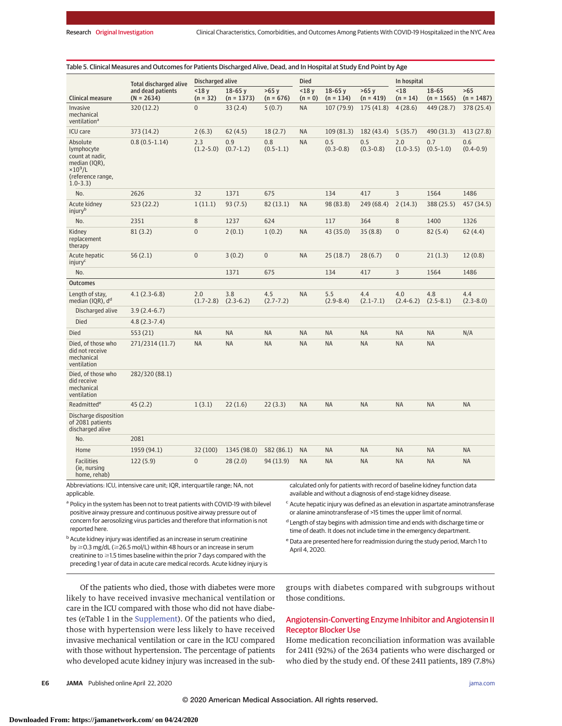|                                                                                                                   | <b>Total discharged alive</b>     | Discharged alive     |                          |                      | <b>Died</b>        |                         |                        | In hospital          |                       |                      |
|-------------------------------------------------------------------------------------------------------------------|-----------------------------------|----------------------|--------------------------|----------------------|--------------------|-------------------------|------------------------|----------------------|-----------------------|----------------------|
| <b>Clinical measure</b>                                                                                           | and dead patients<br>$(N = 2634)$ | < 18y<br>$(n = 32)$  | $18-65y$<br>$(n = 1373)$ | >65v<br>$(n = 676)$  | < 18y<br>$(n = 0)$ | $18-65y$<br>$(n = 134)$ | $>65$ y<br>$(n = 419)$ | $18$<br>$(n = 14)$   | 18-65<br>$(n = 1565)$ | >65<br>$(n = 1487)$  |
| Invasive<br>mechanical<br>ventilation <sup>a</sup>                                                                | 320 (12.2)                        | $\overline{0}$       | 33(2.4)                  | 5(0.7)               | <b>NA</b>          | 107 (79.9)              | 175 (41.8)             | 4(28.6)              | 449 (28.7)            | 378 (25.4)           |
| <b>ICU</b> care                                                                                                   | 373 (14.2)                        | 2(6.3)               | 62(4.5)                  | 18(2.7)              | <b>NA</b>          | 109(81.3)               | 182 (43.4)             | 5(35.7)              | 490 (31.3)            | 413 (27.8)           |
| Absolute<br>lymphocyte<br>count at nadir,<br>median (IQR),<br>$\times10^9$ /L<br>(reference range,<br>$1.0 - 3.3$ | $0.8(0.5-1.14)$                   | 2.3<br>$(1.2 - 5.0)$ | 0.9<br>$(0.7 - 1.2)$     | 0.8<br>$(0.5 - 1.1)$ | <b>NA</b>          | 0.5<br>$(0.3 - 0.8)$    | 0.5<br>$(0.3 - 0.8)$   | 2.0<br>$(1.0-3.5)$   | 0.7<br>$(0.5 - 1.0)$  | 0.6<br>$(0.4 - 0.9)$ |
| No.                                                                                                               | 2626                              | 32                   | 1371                     | 675                  |                    | 134                     | 417                    | 3                    | 1564                  | 1486                 |
| Acute kidney<br>injury <sup>b</sup>                                                                               | 523 (22.2)                        | 1(11.1)              | 93(7.5)                  | 82(13.1)             | <b>NA</b>          | 98 (83.8)               | 249 (68.4)             | 2(14.3)              | 388 (25.5)            | 457 (34.5)           |
| No.                                                                                                               | 2351                              | 8                    | 1237                     | 624                  |                    | 117                     | 364                    | 8                    | 1400                  | 1326                 |
| Kidney<br>replacement<br>therapy                                                                                  | 81(3.2)                           | $\overline{0}$       | 2(0.1)                   | 1(0.2)               | <b>NA</b>          | 43 (35.0)               | 35(8.8)                | $\overline{0}$       | 82(5.4)               | 62(4.4)              |
| Acute hepatic<br>injury <sup>c</sup>                                                                              | 56(2.1)                           | $\overline{0}$       | 3(0.2)                   | $\overline{0}$       | <b>NA</b>          | 25(18.7)                | 28(6.7)                | $\overline{0}$       | 21(1.3)               | 12(0.8)              |
| No.                                                                                                               |                                   |                      | 1371                     | 675                  |                    | 134                     | 417                    | 3                    | 1564                  | 1486                 |
| <b>Outcomes</b>                                                                                                   |                                   |                      |                          |                      |                    |                         |                        |                      |                       |                      |
| Length of stay,<br>median (IQR), d <sup>d</sup>                                                                   | $4.1(2.3-6.8)$                    | 2.0<br>$(1.7 - 2.8)$ | 3.8<br>$(2.3-6.2)$       | 4.5<br>$(2.7 - 7.2)$ | <b>NA</b>          | 5.5<br>$(2.9 - 8.4)$    | 4.4<br>$(2.1 - 7.1)$   | 4.0<br>$(2.4 - 6.2)$ | 4.8<br>$(2.5 - 8.1)$  | 4.4<br>$(2.3 - 8.0)$ |
| Discharged alive                                                                                                  | $3.9(2.4-6.7)$                    |                      |                          |                      |                    |                         |                        |                      |                       |                      |
| Died                                                                                                              | $4.8(2.3-7.4)$                    |                      |                          |                      |                    |                         |                        |                      |                       |                      |
| <b>Died</b>                                                                                                       | 553 (21)                          | <b>NA</b>            | <b>NA</b>                | <b>NA</b>            | <b>NA</b>          | <b>NA</b>               | <b>NA</b>              | <b>NA</b>            | <b>NA</b>             | N/A                  |
| Died, of those who<br>did not receive<br>mechanical<br>ventilation                                                | 271/2314 (11.7)                   | <b>NA</b>            | <b>NA</b>                | <b>NA</b>            | <b>NA</b>          | <b>NA</b>               | <b>NA</b>              | <b>NA</b>            | <b>NA</b>             |                      |
| Died, of those who<br>did receive<br>mechanical<br>ventilation                                                    | 282/320 (88.1)                    |                      |                          |                      |                    |                         |                        |                      |                       |                      |
| Readmitted <sup>e</sup>                                                                                           | 45(2.2)                           | 1(3.1)               | 22(1.6)                  | 22(3.3)              | <b>NA</b>          | <b>NA</b>               | <b>NA</b>              | <b>NA</b>            | <b>NA</b>             | <b>NA</b>            |
| Discharge disposition<br>of 2081 patients<br>discharged alive                                                     |                                   |                      |                          |                      |                    |                         |                        |                      |                       |                      |
| No.                                                                                                               | 2081                              |                      |                          |                      |                    |                         |                        |                      |                       |                      |
| Home                                                                                                              | 1959 (94.1)                       | 32 (100)             | 1345 (98.0)              | 582 (86.1)           | <b>NA</b>          | <b>NA</b>               | <b>NA</b>              | <b>NA</b>            | <b>NA</b>             | <b>NA</b>            |
| <b>Facilities</b><br>(ie, nursing<br>home, rehab)                                                                 | 122(5.9)                          | $\overline{0}$       | 28(2.0)                  | 94 (13.9)            | <b>NA</b>          | <b>NA</b>               | <b>NA</b>              | <b>NA</b>            | <b>NA</b>             | <b>NA</b>            |

Abbreviations: ICU, intensive care unit; IQR, interquartile range; NA, not applicable.

<sup>a</sup> Policy in the system has been not to treat patients with COVID-19 with bilevel positive airway pressure and continuous positive airway pressure out of concern for aerosolizing virus particles and therefore that information is not reported here.

available and without a diagnosis of end-stage kidney disease. <sup>c</sup> Acute hepatic injury was defined as an elevation in aspartate aminotransferase or alanine aminotransferase of >15 times the upper limit of normal.

<sup>d</sup> Length of stay begins with admission time and ends with discharge time or time of death. It does not include time in the emergency department.

**b** Acute kidney injury was identified as an increase in serum creatinine by ≥0.3 mg/dL (≥26.5 mol/L) within 48 hours or an increase in serum creatinine to  $\geq$  1.5 times baseline within the prior 7 days compared with the preceding 1 year of data in acute care medical records. Acute kidney injury is

<sup>e</sup> Data are presented here for readmission during the study period, March 1 to April 4, 2020.

Of the patients who died, those with diabetes were more likely to have received invasive mechanical ventilation or care in the ICU compared with those who did not have diabetes (eTable 1 in the [Supplement\)](https://jamanetwork.com/journals/jama/fullarticle/10.1001/jama.2020.6775?utm_campaign=articlePDF%26utm_medium=articlePDFlink%26utm_source=articlePDF%26utm_content=jama.2020.6775). Of the patients who died, those with hypertension were less likely to have received invasive mechanical ventilation or care in the ICU compared with those without hypertension. The percentage of patients who developed acute kidney injury was increased in the subgroups with diabetes compared with subgroups without those conditions.

# Angiotensin-Converting Enzyme Inhibitor and Angiotensin II Receptor Blocker Use

Home medication reconciliation information was available for 2411 (92%) of the 2634 patients who were discharged or who died by the study end. Of these 2411 patients, 189 (7.8%)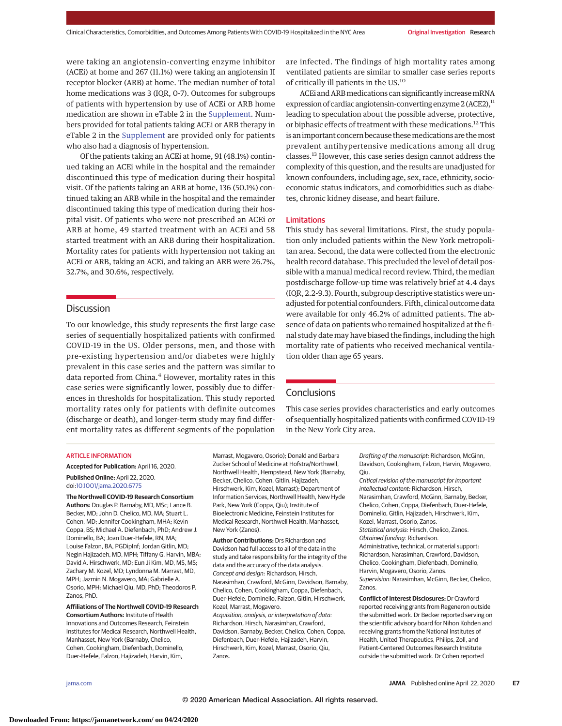were taking an angiotensin-converting enzyme inhibitor (ACEi) at home and 267 (11.1%) were taking an angiotensin II receptor blocker (ARB) at home. The median number of total home medications was 3 (IQR, 0-7). Outcomes for subgroups of patients with hypertension by use of ACEi or ARB home medication are shown in eTable 2 in the [Supplement.](https://jamanetwork.com/journals/jama/fullarticle/10.1001/jama.2020.6775?utm_campaign=articlePDF%26utm_medium=articlePDFlink%26utm_source=articlePDF%26utm_content=jama.2020.6775) Numbers provided for total patients taking ACEi or ARB therapy in eTable 2 in the [Supplement](https://jamanetwork.com/journals/jama/fullarticle/10.1001/jama.2020.6775?utm_campaign=articlePDF%26utm_medium=articlePDFlink%26utm_source=articlePDF%26utm_content=jama.2020.6775) are provided only for patients who also had a diagnosis of hypertension.

Of the patients taking an ACEi at home, 91 (48.1%) continued taking an ACEi while in the hospital and the remainder discontinued this type of medication during their hospital visit. Of the patients taking an ARB at home, 136 (50.1%) continued taking an ARB while in the hospital and the remainder discontinued taking this type of medication during their hospital visit. Of patients who were not prescribed an ACEi or ARB at home, 49 started treatment with an ACEi and 58 started treatment with an ARB during their hospitalization. Mortality rates for patients with hypertension not taking an ACEi or ARB, taking an ACEi, and taking an ARB were 26.7%, 32.7%, and 30.6%, respectively.

# **Discussion**

To our knowledge, this study represents the first large case series of sequentially hospitalized patients with confirmed COVID-19 in the US. Older persons, men, and those with pre-existing hypertension and/or diabetes were highly prevalent in this case series and the pattern was similar to data reported from China.<sup>4</sup> However, mortality rates in this case series were significantly lower, possibly due to differences in thresholds for hospitalization. This study reported mortality rates only for patients with definite outcomes (discharge or death), and longer-term study may find different mortality rates as different segments of the population are infected. The findings of high mortality rates among ventilated patients are similar to smaller case series reports of critically ill patients in the US.10

ACEi and ARBmedications can significantly increasemRNA expression of cardiac angiotensin-converting enzyme  $2$  (ACE2), $^{11}$ leading to speculation about the possible adverse, protective, or biphasic effects of treatment with these medications.<sup>12</sup> This is an important concern because thesemedications are themost prevalent antihypertensive medications among all drug classes.13 However, this case series design cannot address the complexity of this question, and the results are unadjusted for known confounders, including age, sex, race, ethnicity, socioeconomic status indicators, and comorbidities such as diabetes, chronic kidney disease, and heart failure.

#### Limitations

This study has several limitations. First, the study population only included patients within the New York metropolitan area. Second, the data were collected from the electronic health record database. This precluded the level of detail possible with a manual medical record review. Third, the median postdischarge follow-up time was relatively brief at 4.4 days (IQR, 2.2-9.3). Fourth, subgroup descriptive statistics were unadjusted for potential confounders. Fifth, clinical outcome data were available for only 46.2% of admitted patients. The absence of data on patients who remained hospitalized at the final study date may have biased the findings, including the high mortality rate of patients who received mechanical ventilation older than age 65 years.

# **Conclusions**

This case series provides characteristics and early outcomes of sequentially hospitalized patients with confirmed COVID-19 in the New York City area.

## ARTICLE INFORMATION

**Accepted for Publication:** April 16, 2020. **Published Online:** April 22, 2020. doi[:10.1001/jama.2020.6775](https://jamanetwork.com/journals/jama/fullarticle/10.1001/jama.2020.6775?utm_campaign=articlePDF%26utm_medium=articlePDFlink%26utm_source=articlePDF%26utm_content=jama.2020.6775)

**The Northwell COVID-19 Research Consortium Authors:** Douglas P. Barnaby, MD, MSc; Lance B. Becker, MD; John D. Chelico, MD, MA; Stuart L. Cohen, MD; Jennifer Cookingham, MHA; Kevin Coppa, BS; Michael A. Diefenbach, PhD; Andrew J. Dominello, BA; Joan Duer-Hefele, RN, MA; Louise Falzon, BA, PGDipInf; Jordan Gitlin, MD; Negin Hajizadeh, MD, MPH; Tiffany G. Harvin, MBA; David A. Hirschwerk, MD; Eun Ji Kim, MD, MS, MS; Zachary M. Kozel, MD; Lyndonna M. Marrast, MD, MPH; Jazmin N. Mogavero, MA; Gabrielle A. Osorio, MPH; Michael Qiu, MD, PhD; Theodoros P. Zanos, PhD.

**Affiliations of The Northwell COVID-19 Research Consortium Authors:** Institute of Health Innovations and Outcomes Research, Feinstein Institutes for Medical Research, Northwell Health, Manhasset, New York (Barnaby, Chelico, Cohen, Cookingham, Diefenbach, Dominello, Duer-Hefele, Falzon, Hajizadeh, Harvin, Kim,

Marrast, Mogavero, Osorio); Donald and Barbara Zucker School of Medicine at Hofstra/Northwell, Northwell Health, Hempstead, New York (Barnaby, Becker, Chelico, Cohen, Gitlin, Hajizadeh, Hirschwerk, Kim, Kozel, Marrast); Department of Information Services, Northwell Health, New Hyde Park, New York (Coppa, Qiu); Institute of Bioelectronic Medicine, Feinstein Institutes for Medical Research, Northwell Health, Manhasset, New York (Zanos).

**Author Contributions:** Drs Richardson and Davidson had full access to all of the data in the study and take responsibility for the integrity of the data and the accuracy of the data analysis. Concept and design: Richardson, Hirsch, Narasimhan, Crawford, McGinn, Davidson, Barnaby, Chelico, Cohen, Cookingham, Coppa, Diefenbach, Duer-Hefele, Dominello, Falzon, Gitlin, Hirschwerk, Kozel, Marrast, Mogavero. Acquisition, analysis, or interpretation of data: Richardson, Hirsch, Narasimhan, Crawford, Davidson, Barnaby, Becker, Chelico, Cohen, Coppa, Diefenbach, Duer-Hefele, Hajizadeh, Harvin, Hirschwerk, Kim, Kozel, Marrast, Osorio, Qiu, Zanos.

Drafting of the manuscript: Richardson, McGinn, Davidson, Cookingham, Falzon, Harvin, Mogavero, Qiu.

Critical revision of the manuscript for important intellectual content: Richardson, Hirsch, Narasimhan, Crawford, McGinn, Barnaby, Becker, Chelico, Cohen, Coppa, Diefenbach, Duer-Hefele, Dominello, Gitlin, Hajizadeh, Hirschwerk, Kim, Kozel, Marrast, Osorio, Zanos. Statistical analysis: Hirsch, Chelico, Zanos. Obtained funding: Richardson. Administrative, technical, or material support: Richardson, Narasimhan, Crawford, Davidson, Chelico, Cookingham, Diefenbach, Dominello, Harvin, Mogavero, Osorio, Zanos. Supervision: Narasimhan, McGinn, Becker, Chelico, Zanos.

**Conflict of Interest Disclosures:** Dr Crawford reported receiving grants from Regeneron outside the submitted work. Dr Becker reported serving on the scientific advisory board for Nihon Kohden and receiving grants from the National Institutes of Health, United Therapeutics, Philips, Zoll, and Patient-Centered Outcomes Research Institute outside the submitted work. Dr Cohen reported